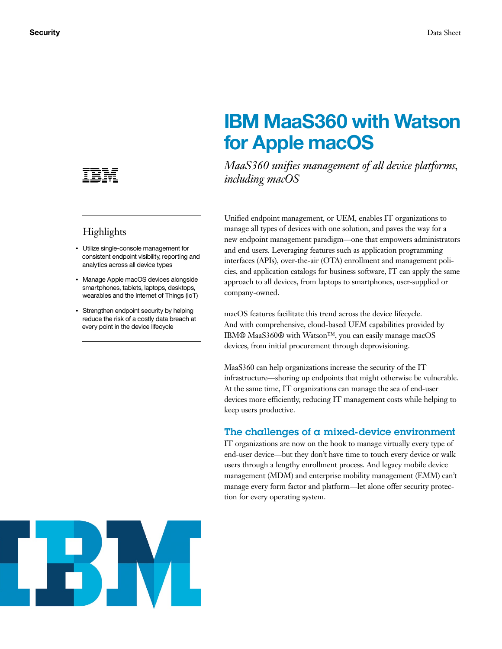

# **Highlights**

- Utilize single-console management for consistent endpoint visibility, reporting and analytics across all device types
- Manage Apple macOS devices alongside smartphones, tablets, laptops, desktops, wearables and the Internet of Things (IoT)
- Strengthen endpoint security by helping reduce the risk of a costly data breach at every point in the device lifecycle

# **IBM MaaS360 with Watson for Apple macOS**

*MaaS360 unifies management of all device platforms, including macOS*

Unified endpoint management, or UEM, enables IT organizations to manage all types of devices with one solution, and paves the way for a new endpoint management paradigm—one that empowers administrators and end users. Leveraging features such as application programming interfaces (APIs), over-the-air (OTA) enrollment and management policies, and application catalogs for business software, IT can apply the same approach to all devices, from laptops to smartphones, user-supplied or company-owned.

macOS features facilitate this trend across the device lifecycle. And with comprehensive, cloud-based UEM capabilities provided by IBM® MaaS360® with Watson™, you can easily manage macOS devices, from initial procurement through deprovisioning.

MaaS360 can help organizations increase the security of the IT infrastructure—shoring up endpoints that might otherwise be vulnerable. At the same time, IT organizations can manage the sea of end-user devices more efficiently, reducing IT management costs while helping to keep users productive.

### The challenges of a mixed-device environment

IT organizations are now on the hook to manage virtually every type of end-user device—but they don't have time to touch every device or walk users through a lengthy enrollment process. And legacy mobile device management (MDM) and enterprise mobility management (EMM) can't manage every form factor and platform—let alone offer security protection for every operating system.

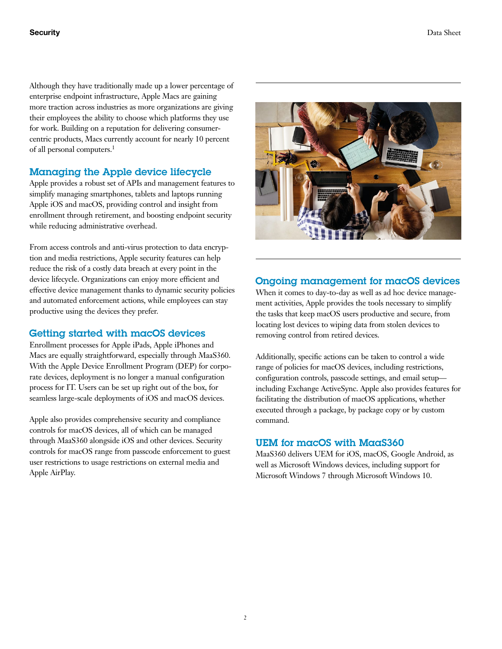Although they have traditionally made up a lower percentage of enterprise endpoint infrastructure, Apple Macs are gaining more traction across industries as more organizations are giving their employees the ability to choose which platforms they use for work. Building on a reputation for delivering consumercentric products, Macs currently account for nearly 10 percent of all personal computers.1

# Managing the Apple device lifecycle

Apple provides a robust set of APIs and management features to simplify managing smartphones, tablets and laptops running Apple iOS and macOS, providing control and insight from enrollment through retirement, and boosting endpoint security while reducing administrative overhead.

From access controls and anti-virus protection to data encryption and media restrictions, Apple security features can help reduce the risk of a costly data breach at every point in the device lifecycle. Organizations can enjoy more efficient and effective device management thanks to dynamic security policies and automated enforcement actions, while employees can stay productive using the devices they prefer.

## Getting started with macOS devices

Enrollment processes for Apple iPads, Apple iPhones and Macs are equally straightforward, especially through MaaS360. With the Apple Device Enrollment Program (DEP) for corporate devices, deployment is no longer a manual configuration process for IT. Users can be set up right out of the box, for seamless large-scale deployments of iOS and macOS devices.

Apple also provides comprehensive security and compliance controls for macOS devices, all of which can be managed through MaaS360 alongside iOS and other devices. Security controls for macOS range from passcode enforcement to guest user restrictions to usage restrictions on external media and Apple AirPlay.



## Ongoing management for macOS devices

When it comes to day-to-day as well as ad hoc device management activities, Apple provides the tools necessary to simplify the tasks that keep macOS users productive and secure, from locating lost devices to wiping data from stolen devices to removing control from retired devices.

Additionally, specific actions can be taken to control a wide range of policies for macOS devices, including restrictions, configuration controls, passcode settings, and email setup including Exchange ActiveSync. Apple also provides features for facilitating the distribution of macOS applications, whether executed through a package, by package copy or by custom command.

### UEM for macOS with MaaS360

MaaS360 delivers UEM for iOS, macOS, Google Android, as well as Microsoft Windows devices, including support for Microsoft Windows 7 through Microsoft Windows 10.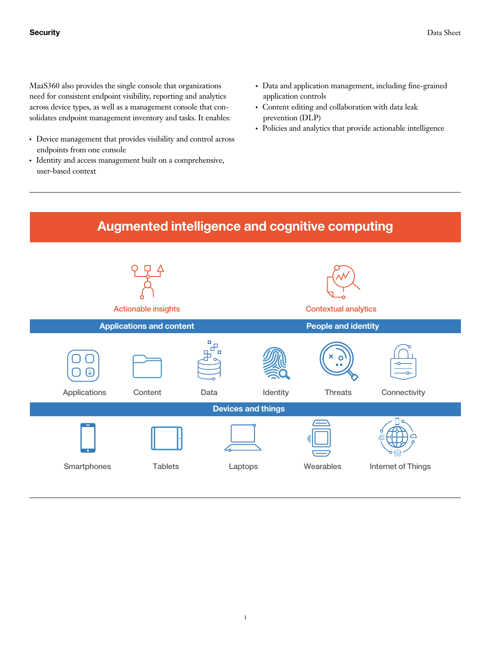MaaS360 also provides the single console that organizations need for consistent endpoint visibility, reporting and analytics across device types, as well as a management console that consolidates endpoint management inventory and tasks. It enables:

- Device management that provides visibility and control across endpoints from one console
- Identity and access management built on a comprehensive, user-based context
- Data and application management, including fine-grained application controls
- Content editing and collaboration with data leak prevention (DLP)
- Policies and analytics that provide actionable intelligence

# **Augmented intelligence and cognitive computing**